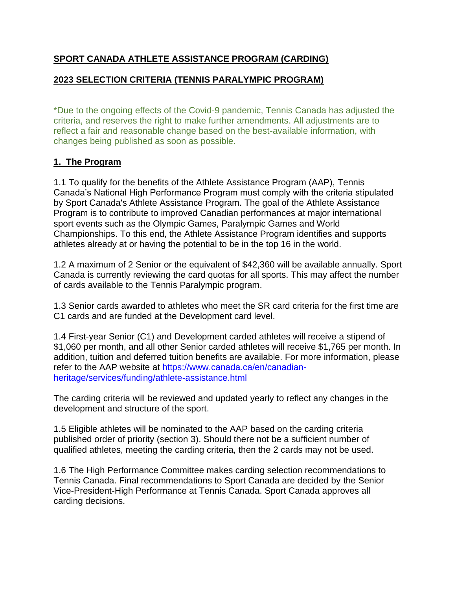## **SPORT CANADA ATHLETE ASSISTANCE PROGRAM (CARDING)**

## **2023 SELECTION CRITERIA (TENNIS PARALYMPIC PROGRAM)**

\*Due to the ongoing effects of the Covid-9 pandemic, Tennis Canada has adjusted the criteria, and reserves the right to make further amendments. All adjustments are to reflect a fair and reasonable change based on the best-available information, with changes being published as soon as possible.

### **1. The Program**

1.1 To qualify for the benefits of the Athlete Assistance Program (AAP), Tennis Canada's National High Performance Program must comply with the criteria stipulated by Sport Canada's Athlete Assistance Program. The goal of the Athlete Assistance Program is to contribute to improved Canadian performances at major international sport events such as the Olympic Games, Paralympic Games and World Championships. To this end, the Athlete Assistance Program identifies and supports athletes already at or having the potential to be in the top 16 in the world.

1.2 A maximum of 2 Senior or the equivalent of \$42,360 will be available annually. Sport Canada is currently reviewing the card quotas for all sports. This may affect the number of cards available to the Tennis Paralympic program.

1.3 Senior cards awarded to athletes who meet the SR card criteria for the first time are C1 cards and are funded at the Development card level.

1.4 First-year Senior (C1) and Development carded athletes will receive a stipend of \$1,060 per month, and all other Senior carded athletes will receive \$1,765 per month. In addition, tuition and deferred tuition benefits are available. For more information, please refer to the AAP website at [https://www.canada.ca/en/canadian](https://www.canada.ca/en/canadian-heritage/services/funding/athlete-assistance.html)[heritage/services/funding/athlete-assistance.html](https://www.canada.ca/en/canadian-heritage/services/funding/athlete-assistance.html)

The carding criteria will be reviewed and updated yearly to reflect any changes in the development and structure of the sport.

1.5 Eligible athletes will be nominated to the AAP based on the carding criteria published order of priority (section 3). Should there not be a sufficient number of qualified athletes, meeting the carding criteria, then the 2 cards may not be used.

1.6 The High Performance Committee makes carding selection recommendations to Tennis Canada. Final recommendations to Sport Canada are decided by the Senior Vice-President-High Performance at Tennis Canada. Sport Canada approves all carding decisions.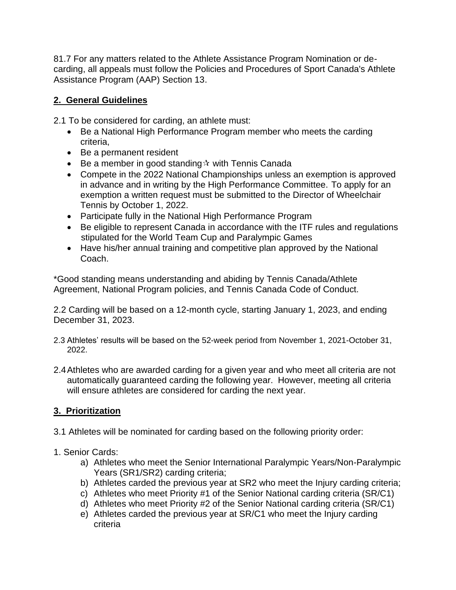81.7 For any matters related to the Athlete Assistance Program Nomination or decarding, all appeals must follow the Policies and Procedures of Sport Canada's Athlete Assistance Program (AAP) Section 13.

## **2. General Guidelines**

2.1 To be considered for carding, an athlete must:

- Be a National High Performance Program member who meets the carding criteria,
- Be a permanent resident
- Be a member in good standing  $\dot{x}$  with Tennis Canada
- Compete in the 2022 National Championships unless an exemption is approved in advance and in writing by the High Performance Committee. To apply for an exemption a written request must be submitted to the Director of Wheelchair Tennis by October 1, 2022.
- Participate fully in the National High Performance Program
- Be eligible to represent Canada in accordance with the ITF rules and regulations stipulated for the World Team Cup and Paralympic Games
- Have his/her annual training and competitive plan approved by the National Coach.

\*Good standing means understanding and abiding by Tennis Canada/Athlete Agreement, National Program policies, and Tennis Canada Code of Conduct.

2.2 Carding will be based on a 12-month cycle, starting January 1, 2023, and ending December 31, 2023.

- 2.3 Athletes' results will be based on the 52-week period from November 1, 2021-October 31, 2022.
- 2.4Athletes who are awarded carding for a given year and who meet all criteria are not automatically guaranteed carding the following year. However, meeting all criteria will ensure athletes are considered for carding the next year.

# **3. Prioritization**

3.1 Athletes will be nominated for carding based on the following priority order:

# 1. Senior Cards:

- a) Athletes who meet the Senior International Paralympic Years/Non-Paralympic Years (SR1/SR2) carding criteria;
- b) Athletes carded the previous year at SR2 who meet the Injury carding criteria;
- c) Athletes who meet Priority #1 of the Senior National carding criteria (SR/C1)
- d) Athletes who meet Priority #2 of the Senior National carding criteria (SR/C1)
- e) Athletes carded the previous year at SR/C1 who meet the Injury carding criteria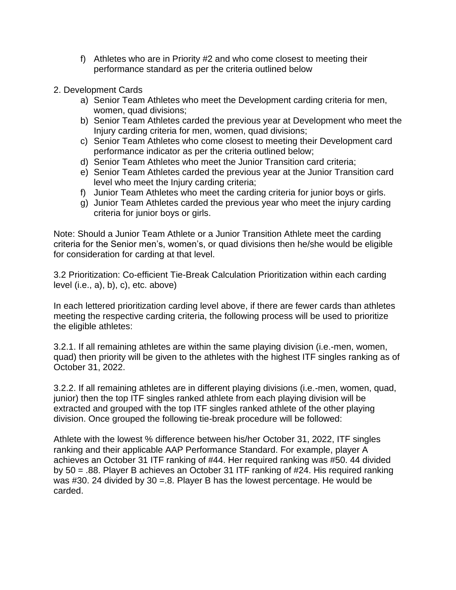- f) Athletes who are in Priority #2 and who come closest to meeting their performance standard as per the criteria outlined below
- 2. Development Cards
	- a) Senior Team Athletes who meet the Development carding criteria for men, women, quad divisions;
	- b) Senior Team Athletes carded the previous year at Development who meet the Injury carding criteria for men, women, quad divisions;
	- c) Senior Team Athletes who come closest to meeting their Development card performance indicator as per the criteria outlined below;
	- d) Senior Team Athletes who meet the Junior Transition card criteria;
	- e) Senior Team Athletes carded the previous year at the Junior Transition card level who meet the Injury carding criteria;
	- f) Junior Team Athletes who meet the carding criteria for junior boys or girls.
	- g) Junior Team Athletes carded the previous year who meet the injury carding criteria for junior boys or girls.

Note: Should a Junior Team Athlete or a Junior Transition Athlete meet the carding criteria for the Senior men's, women's, or quad divisions then he/she would be eligible for consideration for carding at that level.

3.2 Prioritization: Co-efficient Tie-Break Calculation Prioritization within each carding level (i.e., a), b), c), etc. above)

In each lettered prioritization carding level above, if there are fewer cards than athletes meeting the respective carding criteria, the following process will be used to prioritize the eligible athletes:

3.2.1. If all remaining athletes are within the same playing division (i.e.-men, women, quad) then priority will be given to the athletes with the highest ITF singles ranking as of October 31, 2022.

3.2.2. If all remaining athletes are in different playing divisions (i.e.-men, women, quad, junior) then the top ITF singles ranked athlete from each playing division will be extracted and grouped with the top ITF singles ranked athlete of the other playing division. Once grouped the following tie-break procedure will be followed:

Athlete with the lowest % difference between his/her October 31, 2022, ITF singles ranking and their applicable AAP Performance Standard. For example, player A achieves an October 31 ITF ranking of #44. Her required ranking was #50. 44 divided by 50 = .88. Player B achieves an October 31 ITF ranking of #24. His required ranking was #30. 24 divided by 30 =.8. Player B has the lowest percentage. He would be carded.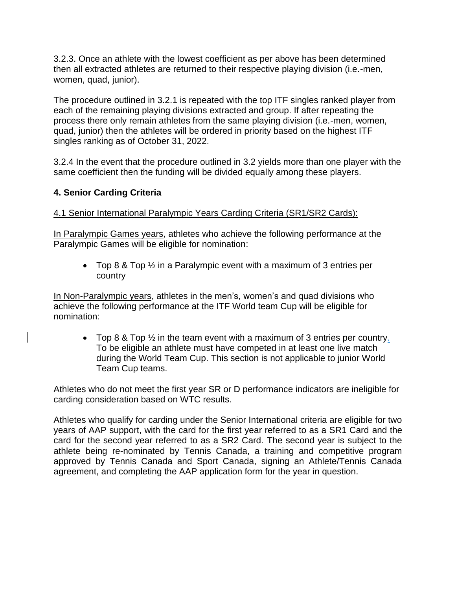3.2.3. Once an athlete with the lowest coefficient as per above has been determined then all extracted athletes are returned to their respective playing division (i.e.-men, women, quad, junior).

The procedure outlined in 3.2.1 is repeated with the top ITF singles ranked player from each of the remaining playing divisions extracted and group. If after repeating the process there only remain athletes from the same playing division (i.e.-men, women, quad, junior) then the athletes will be ordered in priority based on the highest ITF singles ranking as of October 31, 2022.

3.2.4 In the event that the procedure outlined in 3.2 yields more than one player with the same coefficient then the funding will be divided equally among these players.

## **4. Senior Carding Criteria**

### 4.1 Senior International Paralympic Years Carding Criteria (SR1/SR2 Cards):

In Paralympic Games years, athletes who achieve the following performance at the Paralympic Games will be eligible for nomination:

• Top 8 & Top  $\frac{1}{2}$  in a Paralympic event with a maximum of 3 entries per country

In Non-Paralympic years, athletes in the men's, women's and quad divisions who achieve the following performance at the ITF World team Cup will be eligible for nomination:

• Top 8 & Top ½ in the team event with a maximum of 3 entries per country. To be eligible an athlete must have competed in at least one live match during the World Team Cup. This section is not applicable to junior World Team Cup teams.

Athletes who do not meet the first year SR or D performance indicators are ineligible for carding consideration based on WTC results.

Athletes who qualify for carding under the Senior International criteria are eligible for two years of AAP support, with the card for the first year referred to as a SR1 Card and the card for the second year referred to as a SR2 Card. The second year is subject to the athlete being re-nominated by Tennis Canada, a training and competitive program approved by Tennis Canada and Sport Canada, signing an Athlete/Tennis Canada agreement, and completing the AAP application form for the year in question.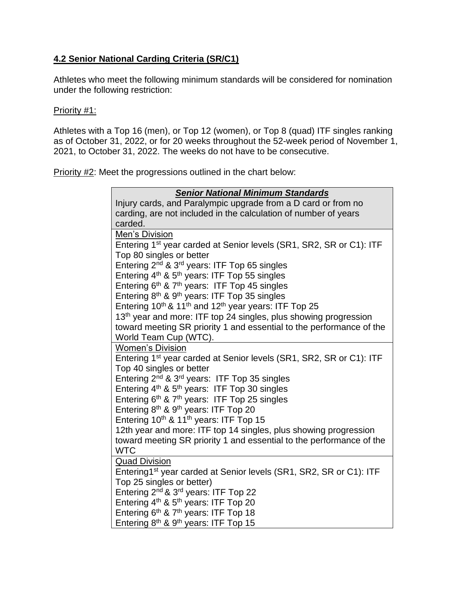## **4.2 Senior National Carding Criteria (SR/C1)**

Athletes who meet the following minimum standards will be considered for nomination under the following restriction:

#### Priority #1:

Athletes with a Top 16 (men), or Top 12 (women), or Top 8 (quad) ITF singles ranking as of October 31, 2022, or for 20 weeks throughout the 52-week period of November 1, 2021, to October 31, 2022. The weeks do not have to be consecutive.

Priority #2: Meet the progressions outlined in the chart below:

| <b>Senior National Minimum Standards</b>                                                                    |
|-------------------------------------------------------------------------------------------------------------|
| Injury cards, and Paralympic upgrade from a D card or from no                                               |
| carding, are not included in the calculation of number of years                                             |
| carded.                                                                                                     |
| Men's Division                                                                                              |
| Entering 1 <sup>st</sup> year carded at Senior levels (SR1, SR2, SR or C1): ITF                             |
| Top 80 singles or better                                                                                    |
| Entering 2 <sup>nd</sup> & 3 <sup>rd</sup> years: ITF Top 65 singles                                        |
| Entering 4 <sup>th</sup> & 5 <sup>th</sup> years: ITF Top 55 singles                                        |
| Entering 6th & 7th years: ITF Top 45 singles                                                                |
| Entering 8th & 9th years: ITF Top 35 singles                                                                |
| Entering $10^{th}$ & $11^{th}$ and $12^{th}$ year years: ITF Top 25                                         |
| 13 <sup>th</sup> year and more: ITF top 24 singles, plus showing progression                                |
| toward meeting SR priority 1 and essential to the performance of the                                        |
| World Team Cup (WTC).                                                                                       |
| <b>Women's Division</b>                                                                                     |
| Entering 1 <sup>st</sup> year carded at Senior levels (SR1, SR2, SR or C1): ITF<br>Top 40 singles or better |
| Entering 2 <sup>nd</sup> & 3 <sup>rd</sup> years: ITF Top 35 singles                                        |
| Entering 4 <sup>th</sup> & 5 <sup>th</sup> years: ITF Top 30 singles                                        |
| Entering 6th & 7th years: ITF Top 25 singles                                                                |
| Entering 8th & 9th years: ITF Top 20                                                                        |
| Entering 10 <sup>th</sup> & 11 <sup>th</sup> years: ITF Top 15                                              |
| 12th year and more: ITF top 14 singles, plus showing progression                                            |
| toward meeting SR priority 1 and essential to the performance of the                                        |
| <b>WTC</b>                                                                                                  |
| <b>Quad Division</b>                                                                                        |
| Entering1 <sup>st</sup> year carded at Senior levels (SR1, SR2, SR or C1): ITF                              |
| Top 25 singles or better)                                                                                   |
| Entering 2 <sup>nd</sup> & 3 <sup>rd</sup> years: ITF Top 22                                                |
| Entering 4 <sup>th</sup> & 5 <sup>th</sup> years: ITF Top 20                                                |
| Entering 6th & 7th years: ITF Top 18                                                                        |
| Entering 8th & 9th years: ITF Top 15                                                                        |
|                                                                                                             |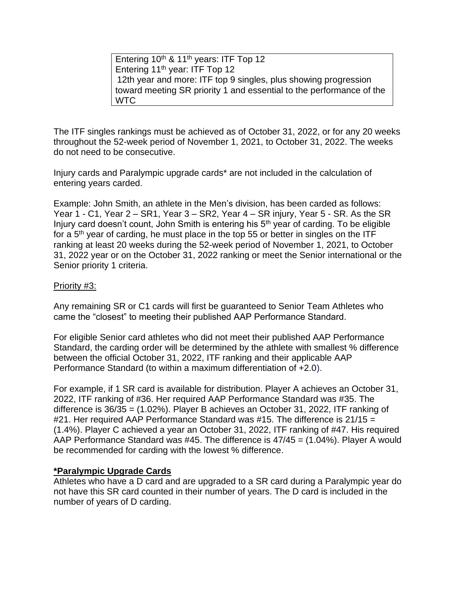Entering 10<sup>th</sup> & 11<sup>th</sup> years: ITF Top 12 Entering 11<sup>th</sup> year: ITF Top 12 12th year and more: ITF top 9 singles, plus showing progression toward meeting SR priority 1 and essential to the performance of the WTC

The ITF singles rankings must be achieved as of October 31, 2022, or for any 20 weeks throughout the 52-week period of November 1, 2021, to October 31, 2022. The weeks do not need to be consecutive.

Injury cards and Paralympic upgrade cards\* are not included in the calculation of entering years carded.

Example: John Smith, an athlete in the Men's division, has been carded as follows: Year 1 - C1, Year 2 – SR1, Year 3 – SR2, Year 4 – SR injury, Year 5 - SR. As the SR Injury card doesn't count, John Smith is entering his  $5<sup>th</sup>$  year of carding. To be eligible for a  $5<sup>th</sup>$  year of carding, he must place in the top 55 or better in singles on the ITF ranking at least 20 weeks during the 52-week period of November 1, 2021, to October 31, 2022 year or on the October 31, 2022 ranking or meet the Senior international or the Senior priority 1 criteria.

#### Priority #3:

Any remaining SR or C1 cards will first be guaranteed to Senior Team Athletes who came the "closest" to meeting their published AAP Performance Standard.

For eligible Senior card athletes who did not meet their published AAP Performance Standard, the carding order will be determined by the athlete with smallest % difference between the official October 31, 2022, ITF ranking and their applicable AAP Performance Standard (to within a maximum differentiation of +2.0).

For example, if 1 SR card is available for distribution. Player A achieves an October 31, 2022, ITF ranking of #36. Her required AAP Performance Standard was #35. The difference is 36/35 = (1.02%). Player B achieves an October 31, 2022, ITF ranking of #21. Her required AAP Performance Standard was #15. The difference is 21/15 = (1.4%). Player C achieved a year an October 31, 2022, ITF ranking of #47. His required AAP Performance Standard was #45. The difference is 47/45 = (1.04%). Player A would be recommended for carding with the lowest % difference.

#### **\*Paralympic Upgrade Cards**

Athletes who have a D card and are upgraded to a SR card during a Paralympic year do not have this SR card counted in their number of years. The D card is included in the number of years of D carding.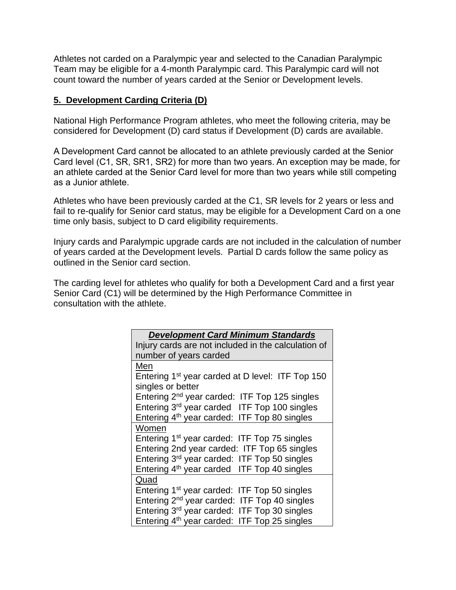Athletes not carded on a Paralympic year and selected to the Canadian Paralympic Team may be eligible for a 4-month Paralympic card. This Paralympic card will not count toward the number of years carded at the Senior or Development levels.

#### **5. Development Carding Criteria (D)**

National High Performance Program athletes, who meet the following criteria, may be considered for Development (D) card status if Development (D) cards are available.

A Development Card cannot be allocated to an athlete previously carded at the Senior Card level (C1, SR, SR1, SR2) for more than two years. An exception may be made, for an athlete carded at the Senior Card level for more than two years while still competing as a Junior athlete.

Athletes who have been previously carded at the C1, SR levels for 2 years or less and fail to re-qualify for Senior card status, may be eligible for a Development Card on a one time only basis, subject to D card eligibility requirements.

Injury cards and Paralympic upgrade cards are not included in the calculation of number of years carded at the Development levels. Partial D cards follow the same policy as outlined in the Senior card section.

The carding level for athletes who qualify for both a Development Card and a first year Senior Card (C1) will be determined by the High Performance Committee in consultation with the athlete.

| <b>Development Card Minimum Standards</b>                    |
|--------------------------------------------------------------|
| Injury cards are not included in the calculation of          |
| number of years carded                                       |
| Men                                                          |
| Entering 1 <sup>st</sup> year carded at D level: ITF Top 150 |
| singles or better                                            |
| Entering 2 <sup>nd</sup> year carded: ITF Top 125 singles    |
| Entering 3rd year carded ITF Top 100 singles                 |
| Entering 4 <sup>th</sup> year carded: ITF Top 80 singles     |
| Women                                                        |
| Entering 1 <sup>st</sup> year carded: ITF Top 75 singles     |
| Entering 2nd year carded: ITF Top 65 singles                 |
| Entering 3 <sup>rd</sup> year carded: ITF Top 50 singles     |
| Entering 4 <sup>th</sup> year carded ITF Top 40 singles      |
| Quad                                                         |
| Entering 1 <sup>st</sup> year carded: ITF Top 50 singles     |
| Entering 2 <sup>nd</sup> year carded: ITF Top 40 singles     |
| Entering 3rd year carded: ITF Top 30 singles                 |
| Entering 4 <sup>th</sup> year carded: ITF Top 25 singles     |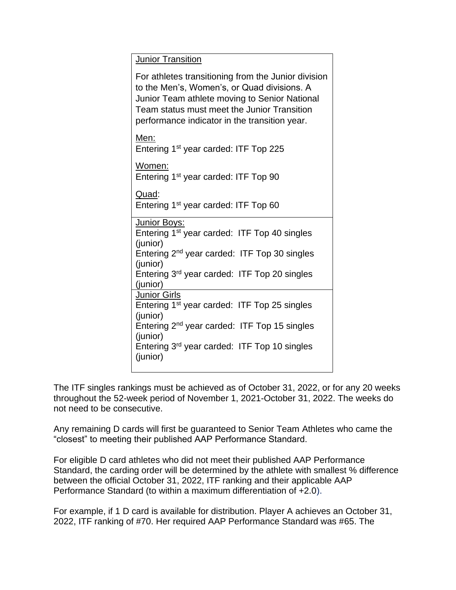Junior Transition

For athletes transitioning from the Junior division to the Men's, Women's, or Quad divisions. A Junior Team athlete moving to Senior National Team status must meet the Junior Transition performance indicator in the transition year.

Men:

Entering 1st year carded: ITF Top 225

Women:

Entering 1st year carded: ITF Top 90

Quad:

Entering 1st year carded: ITF Top 60

| Junior Boys:                                             |
|----------------------------------------------------------|
| Entering 1 <sup>st</sup> year carded: ITF Top 40 singles |
| (junior)                                                 |
| Entering 2 <sup>nd</sup> year carded: ITF Top 30 singles |
| (junior)                                                 |
| Entering 3rd year carded: ITF Top 20 singles             |
| (junior)                                                 |
| <b>Junior Girls</b>                                      |
| Entering 1 <sup>st</sup> year carded: ITF Top 25 singles |
| (junior)                                                 |
| Entering 2 <sup>nd</sup> year carded: ITF Top 15 singles |
| (junior)                                                 |
| Entering 3 <sup>rd</sup> year carded: ITF Top 10 singles |
| (junior)                                                 |
|                                                          |

The ITF singles rankings must be achieved as of October 31, 2022, or for any 20 weeks throughout the 52-week period of November 1, 2021-October 31, 2022. The weeks do not need to be consecutive.

Any remaining D cards will first be guaranteed to Senior Team Athletes who came the "closest" to meeting their published AAP Performance Standard.

For eligible D card athletes who did not meet their published AAP Performance Standard, the carding order will be determined by the athlete with smallest % difference between the official October 31, 2022, ITF ranking and their applicable AAP Performance Standard (to within a maximum differentiation of +2.0).

For example, if 1 D card is available for distribution. Player A achieves an October 31, 2022, ITF ranking of #70. Her required AAP Performance Standard was #65. The